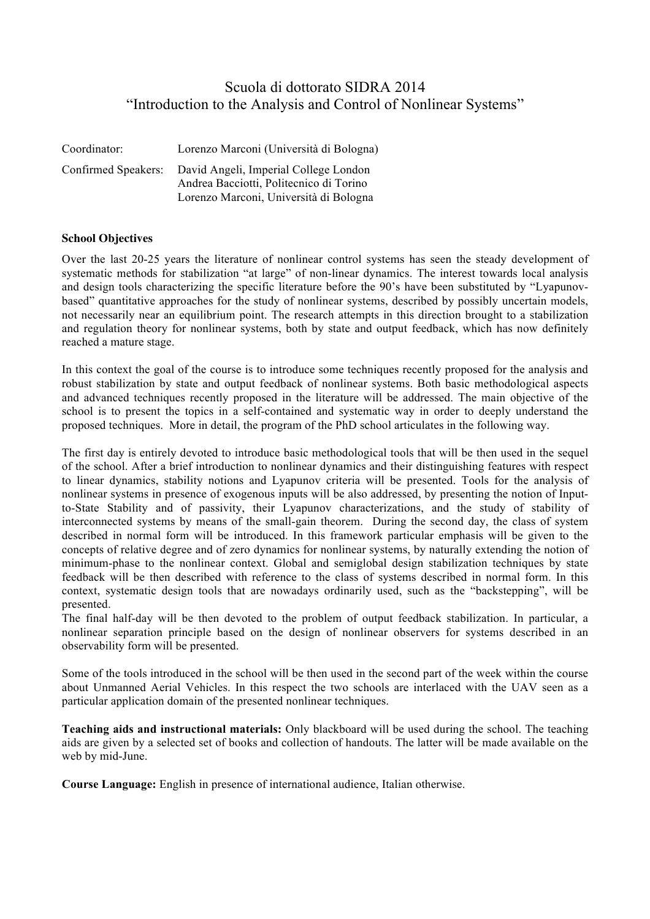## Scuola di dottorato SIDRA 2014 "Introduction to the Analysis and Control of Nonlinear Systems"

| Coordinator:        | Lorenzo Marconi (Università di Bologna)                                                                                    |
|---------------------|----------------------------------------------------------------------------------------------------------------------------|
| Confirmed Speakers: | David Angeli, Imperial College London<br>Andrea Bacciotti, Politecnico di Torino<br>Lorenzo Marconi, Università di Bologna |

## **School Objectives**

Over the last 20-25 years the literature of nonlinear control systems has seen the steady development of systematic methods for stabilization "at large" of non-linear dynamics. The interest towards local analysis and design tools characterizing the specific literature before the 90's have been substituted by "Lyapunovbased" quantitative approaches for the study of nonlinear systems, described by possibly uncertain models, not necessarily near an equilibrium point. The research attempts in this direction brought to a stabilization and regulation theory for nonlinear systems, both by state and output feedback, which has now definitely reached a mature stage.

In this context the goal of the course is to introduce some techniques recently proposed for the analysis and robust stabilization by state and output feedback of nonlinear systems. Both basic methodological aspects and advanced techniques recently proposed in the literature will be addressed. The main objective of the school is to present the topics in a self-contained and systematic way in order to deeply understand the proposed techniques. More in detail, the program of the PhD school articulates in the following way.

The first day is entirely devoted to introduce basic methodological tools that will be then used in the sequel of the school. After a brief introduction to nonlinear dynamics and their distinguishing features with respect to linear dynamics, stability notions and Lyapunov criteria will be presented. Tools for the analysis of nonlinear systems in presence of exogenous inputs will be also addressed, by presenting the notion of Inputto-State Stability and of passivity, their Lyapunov characterizations, and the study of stability of interconnected systems by means of the small-gain theorem. During the second day, the class of system described in normal form will be introduced. In this framework particular emphasis will be given to the concepts of relative degree and of zero dynamics for nonlinear systems, by naturally extending the notion of minimum-phase to the nonlinear context. Global and semiglobal design stabilization techniques by state feedback will be then described with reference to the class of systems described in normal form. In this context, systematic design tools that are nowadays ordinarily used, such as the "backstepping", will be presented.

The final half-day will be then devoted to the problem of output feedback stabilization. In particular, a nonlinear separation principle based on the design of nonlinear observers for systems described in an observability form will be presented.

Some of the tools introduced in the school will be then used in the second part of the week within the course about Unmanned Aerial Vehicles. In this respect the two schools are interlaced with the UAV seen as a particular application domain of the presented nonlinear techniques.

**Teaching aids and instructional materials:** Only blackboard will be used during the school. The teaching aids are given by a selected set of books and collection of handouts. The latter will be made available on the web by mid-June.

**Course Language:** English in presence of international audience, Italian otherwise.